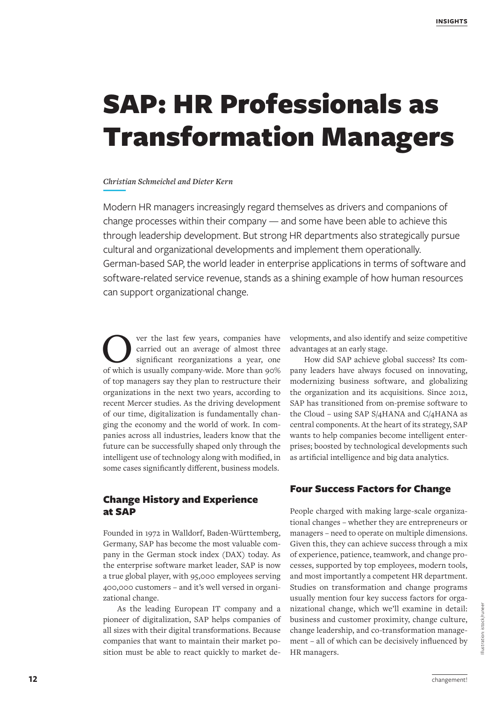# SAP: HR Professionals as Transformation Managers

#### *Christian Schmeichel and Dieter Kern*

Modern HR managers increasingly regard themselves as drivers and companions of change processes within their company — and some have been able to achieve this through leadership development. But strong HR departments also strategically pursue cultural and organizational developments and implement them operationally. German-based SAP, the world leader in enterprise applications in terms of software and software-related service revenue, stands as a shining example of how human resources can support organizational change.

Over the last few years, companies have<br>carried out an average of almost three<br>of which is usually company-wide More than 00% carried out an average of almost three significant reorganizations a year, one of which is usually company-wide. More than 90% of top managers say they plan to restructure their organizations in the next two years, according to recent Mercer studies. As the driving development of our time, digitalization is fundamentally changing the economy and the world of work. In companies across all industries, leaders know that the future can be successfully shaped only through the intelligent use of technology along with modified, in some cases significantly different, business models.

# Change History and Experience at SAP

Founded in 1972 in Walldorf, Baden-Württemberg, Germany, SAP has become the most valuable company in the German stock index (DAX) today. As the enterprise software market leader, SAP is now a true global player, with 95,000 employees serving 400,000 customers – and it's well versed in organizational change.

As the leading European IT company and a pioneer of digitalization, SAP helps companies of all sizes with their digital transformations. Because companies that want to maintain their market position must be able to react quickly to market de-

velopments, and also identify and seize competitive advantages at an early stage.

How did SAP achieve global success? Its company leaders have always focused on innovating, modernizing business software, and globalizing the organization and its acquisitions. Since 2012, SAP has transitioned from on-premise software to the Cloud – using SAP S/4HANA and C/4HANA as central components. At the heart of its strategy, SAP wants to help companies become intelligent enterprises; boosted by technological developments such as artificial intelligence and big data analytics.

# Four Success Factors for Change

People charged with making large-scale organizational changes – whether they are entrepreneurs or managers – need to operate on multiple dimensions. Given this, they can achieve success through a mix of experience, patience, teamwork, and change processes, supported by top employees, modern tools, and most importantly a competent HR department. Studies on transformation and change programs usually mention four key success factors for organizational change, which we'll examine in detail: business and customer proximity, change culture, change leadership, and co-transformation management – all of which can be decisively influenced by HR managers.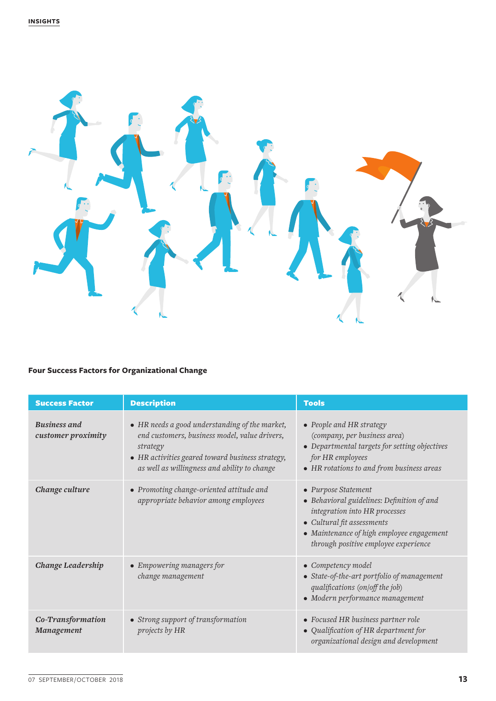

# **Four Success Factors for Organizational Change**

| <b>Success Factor</b>                     | <b>Description</b>                                                                                                                                                                                              | <b>Tools</b>                                                                                                                                                                                                          |
|-------------------------------------------|-----------------------------------------------------------------------------------------------------------------------------------------------------------------------------------------------------------------|-----------------------------------------------------------------------------------------------------------------------------------------------------------------------------------------------------------------------|
| <b>Business and</b><br>customer proximity | • HR needs a good understanding of the market,<br>end customers, business model, value drivers,<br>strategy<br>• HR activities geared toward business strategy,<br>as well as willingness and ability to change | • People and HR strategy<br>(company, per business area)<br>• Departmental targets for setting objectives<br>for HR employees<br>• HR rotations to and from business areas                                            |
| Change culture                            | • Promoting change-oriented attitude and<br>appropriate behavior among employees                                                                                                                                | • Purpose Statement<br>• Behavioral guidelines: Definition of and<br>integration into HR processes<br>• Cultural fit assessments<br>• Maintenance of high employee engagement<br>through positive employee experience |
| <b>Change Leadership</b>                  | • Empowering managers for<br>change management                                                                                                                                                                  | • Competency model<br>• State-of-the-art portfolio of management<br>qualifications (on/off the job)<br>• Modern performance management                                                                                |
| Co-Transformation<br>Management           | • Strong support of transformation<br>projects by HR                                                                                                                                                            | • Focused HR business partner role<br>• Qualification of HR department for<br>organizational design and development                                                                                                   |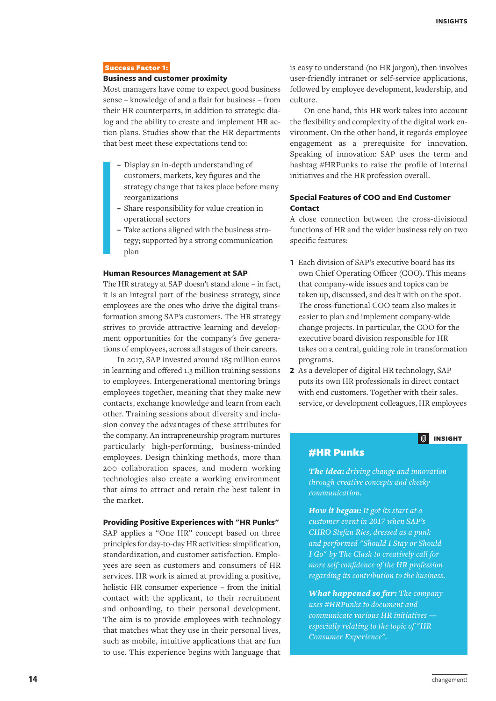#### Success Factor 1:

#### **Business and customer proximity**

Most managers have come to expect good business sense – knowledge of and a flair for business – from their HR counterparts, in addition to strategic dialog and the ability to create and implement HR action plans. Studies show that the HR departments that best meet these expectations tend to:

- **–** Display an in-depth understanding of customers, markets, key figures and the strategy change that takes place before many reorganizations
- **–** Share responsibility for value creation in operational sectors
- **–** Take actions aligned with the business strategy; supported by a strong communication plan

#### **Human Resources Management at SAP**

The HR strategy at SAP doesn't stand alone – in fact, it is an integral part of the business strategy, since employees are the ones who drive the digital transformation among SAP's customers. The HR strategy strives to provide attractive learning and development opportunities for the company's five generations of employees, across all stages of their careers.

In 2017, SAP invested around 185 million euros in learning and offered 1.3 million training sessions to employees. Intergenerational mentoring brings employees together, meaning that they make new contacts, exchange knowledge and learn from each other. Training sessions about diversity and inclusion convey the advantages of these attributes for the company. An intrapreneurship program nurtures particularly high-performing, business-minded employees. Design thinking methods, more than 200 collaboration spaces, and modern working technologies also create a working environment that aims to attract and retain the best talent in the market.

#### **Providing Positive Experiences with "HR Punks"**

SAP applies a "One HR" concept based on three principles for day-to-day HR activities: simplification, standardization, and customer satisfaction. Employees are seen as customers and consumers of HR services. HR work is aimed at providing a positive, holistic HR consumer experience – from the initial contact with the applicant, to their recruitment and onboarding, to their personal development. The aim is to provide employees with technology that matches what they use in their personal lives, such as mobile, intuitive applications that are fun to use. This experience begins with language that

is easy to understand (no HR jargon), then involves user-friendly intranet or self-service applications, followed by employee development, leadership, and culture.

On one hand, this HR work takes into account the flexibility and complexity of the digital work environment. On the other hand, it regards employee engagement as a prerequisite for innovation. Speaking of innovation: SAP uses the term and hashtag #HRPunks to raise the profile of internal initiatives and the HR profession overall.

### **Special Features of COO and End Customer Contact**

A close connection between the cross-divisional functions of HR and the wider business rely on two specific features:

- **1** Each division of SAP's executive board has its own Chief Operating Officer (COO). This means that company-wide issues and topics can be taken up, discussed, and dealt with on the spot. The cross-functional COO team also makes it easier to plan and implement company-wide change projects. In particular, the COO for the executive board division responsible for HR takes on a central, guiding role in transformation programs.
- **2** As a developer of digital HR technology, SAP puts its own HR professionals in direct contact with end customers. Together with their sales, service, or development colleagues, HR employees

# **INSIGHT**

# #HR Punks

*The idea: driving change and innovation through creative concepts and cheeky communication.* 

*How it began: It got its start at a customer event in 2017 when SAP's CHRO Stefan Ries, dressed as a punk and performed "Should I Stay or Should I Go" by The Clash to creatively call for more self-confidence of the HR profession regarding its contribution to the business.*

*What happened so far: The company uses #HRPunks to document and communicate various HR initiatives especially relating to the topic of "HR Consumer Experience".*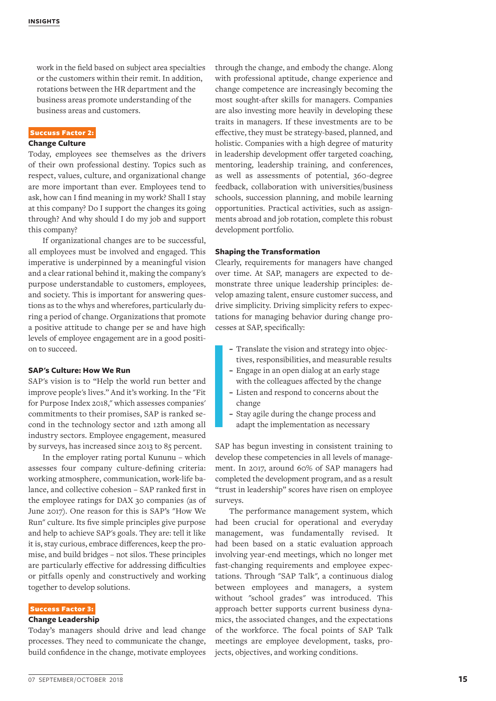work in the field based on subject area specialties or the customers within their remit. In addition, rotations between the HR department and the business areas promote understanding of the business areas and customers.

#### Succuss Factor 2:

#### **Change Culture**

Today, employees see themselves as the drivers of their own professional destiny. Topics such as respect, values, culture, and organizational change are more important than ever. Employees tend to ask, how can I find meaning in my work? Shall I stay at this company? Do I support the changes its going through? And why should I do my job and support this company?

If organizational changes are to be successful, all employees must be involved and engaged. This imperative is underpinned by a meaningful vision and a clear rational behind it, making the company's purpose understandable to customers, employees, and society. This is important for answering questions as to the whys and wherefores, particularly during a period of change. Organizations that promote a positive attitude to change per se and have high levels of employee engagement are in a good position to succeed.

#### **SAP's Culture: How We Run**

SAP's vision is to "Help the world run better and improve people's lives." And it's working. In the "Fit for Purpose Index 2018," which assesses companies' commitments to their promises, SAP is ranked second in the technology sector and 12th among all industry sectors. Employee engagement, measured by surveys, has increased since 2013 to 85 percent.

In the employer rating portal Kununu – which assesses four company culture-defining criteria: working atmosphere, communication, work-life balance, and collective cohesion – SAP ranked first in the employee ratings for DAX 30 companies (as of June 2017). One reason for this is SAP's "How We Run" culture. Its five simple principles give purpose and help to achieve SAP's goals. They are: tell it like it is, stay curious, embrace differences, keep the promise, and build bridges – not silos. These principles are particularly effective for addressing difficulties or pitfalls openly and constructively and working together to develop solutions.

#### Success Factor 3:

#### **Change Leadership**

Today's managers should drive and lead change processes. They need to communicate the change, build confidence in the change, motivate employees through the change, and embody the change. Along with professional aptitude, change experience and change competence are increasingly becoming the most sought-after skills for managers. Companies are also investing more heavily in developing these traits in managers. If these investments are to be effective, they must be strategy-based, planned, and holistic. Companies with a high degree of maturity in leadership development offer targeted coaching, mentoring, leadership training, and conferences, as well as assessments of potential, 360-degree feedback, collaboration with universities/business schools, succession planning, and mobile learning opportunities. Practical activities, such as assignments abroad and job rotation, complete this robust development portfolio.

#### **Shaping the Transformation**

Clearly, requirements for managers have changed over time. At SAP, managers are expected to demonstrate three unique leadership principles: develop amazing talent, ensure customer success, and drive simplicity. Driving simplicity refers to expectations for managing behavior during change processes at SAP, specifically:

- **–** Translate the vision and strategy into objectives, responsibilities, and measurable results
- **–** Engage in an open dialog at an early stage with the colleagues affected by the change
- **–** Listen and respond to concerns about the change
- **–** Stay agile during the change process and adapt the implementation as necessary

SAP has begun investing in consistent training to develop these competencies in all levels of management. In 2017, around 60% of SAP managers had completed the development program, and as a result "trust in leadership" scores have risen on employee surveys.

The performance management system, which had been crucial for operational and everyday management, was fundamentally revised. It had been based on a static evaluation approach involving year-end meetings, which no longer met fast-changing requirements and employee expectations. Through "SAP Talk", a continuous dialog between employees and managers, a system without "school grades" was introduced. This approach better supports current business dynamics, the associated changes, and the expectations of the workforce. The focal points of SAP Talk meetings are employee development, tasks, projects, objectives, and working conditions.